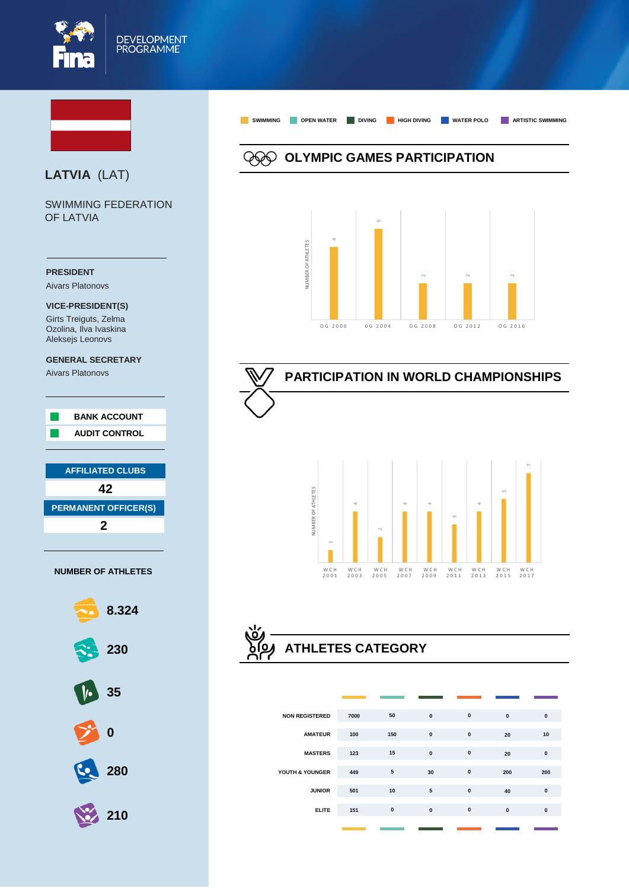



#### **NUMBER OF ATHLETES**



# **ATHLETES CATEGORY**

W C H

W C H

W C H

W C H

W C H

W C H

W C H<br>2013

W C H

W C H

| <b>NON REGISTERED</b> | 7000 | 50        | $\mathbf{0}$ | $\mathbf{0}$ | $\mathbf{0}$ | $\mathbf{0}$ |
|-----------------------|------|-----------|--------------|--------------|--------------|--------------|
| <b>AMATEUR</b>        | 100  | 150       | $\mathbf{0}$ | $\mathbf{0}$ | 20           | 10           |
| <b>MASTERS</b>        | 123  | 15        | $\mathbf{0}$ | $\mathbf{0}$ | 20           | $\mathbf{0}$ |
| YOUTH & YOUNGER       | 449  | 5         | 30           | $\pmb{0}$    | 200          | 200          |
| <b>JUNIOR</b>         | 501  | 10        | ${\bf 5}$    | $\pmb{0}$    | 40           | $\mathbf{0}$ |
| <b>ELITE</b>          | 151  | $\pmb{0}$ | $\mathbf{0}$ | $\pmb{0}$    | $\mathbf{0}$ | $\mathbf{0}$ |
|                       |      |           |              |              |              |              |